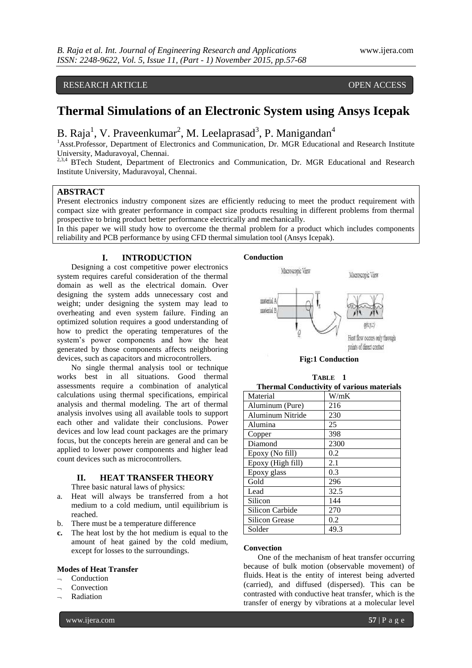RESEARCH ARTICLE **CONSERVERS** OPEN ACCESS

# **Thermal Simulations of an Electronic System using Ansys Icepak**

B. Raja<sup>1</sup>, V. Praveenkumar<sup>2</sup>, M. Leelaprasad<sup>3</sup>, P. Manigandan<sup>4</sup>

<sup>1</sup>Asst.Professor, Department of Electronics and Communication, Dr. MGR Educational and Research Institute University, Maduravoyal, Chennai.

<sup>2,3,4</sup> BTech Student, Department of Electronics and Communication, Dr. MGR Educational and Research Institute University, Maduravoyal, Chennai.

### **ABSTRACT**

Present electronics industry component sizes are efficiently reducing to meet the product requirement with compact size with greater performance in compact size products resulting in different problems from thermal prospective to bring product better performance electrically and mechanically.

In this paper we will study how to overcome the thermal problem for a product which includes components reliability and PCB performance by using CFD thermal simulation tool (Ansys Icepak).

#### **I. INTRODUCTION**

Designing a cost competitive power electronics system requires careful consideration of the thermal domain as well as the electrical domain. Over designing the system adds unnecessary cost and weight; under designing the system may lead to overheating and even system failure. Finding an optimized solution requires a good understanding of how to predict the operating temperatures of the system's power components and how the heat generated by those components affects neighboring devices, such as capacitors and microcontrollers.

No single thermal analysis tool or technique works best in all situations. Good thermal assessments require a combination of analytical calculations using thermal specifications, empirical analysis and thermal modeling. The art of thermal analysis involves using all available tools to support each other and validate their conclusions. Power devices and low lead count packages are the primary focus, but the concepts herein are general and can be applied to lower power components and higher lead count devices such as microcontrollers.

#### **II. HEAT TRANSFER THEORY**

Three basic natural laws of physics:

- a. Heat will always be transferred from a hot medium to a cold medium, until equilibrium is reached.
- b. There must be a temperature difference
- **c.** The heat lost by the hot medium is equal to the amount of heat gained by the cold medium, except for losses to the surroundings.

#### **Modes of Heat Transfer**

- Conduction
- Convection
- Radiation

#### **Conduction**



**Fig:1 Conduction**

| TABLE 1                                          |      |  |  |
|--------------------------------------------------|------|--|--|
| <b>Thermal Conductivity of various materials</b> |      |  |  |
| Material                                         | W/mK |  |  |
| Aluminum (Pure)                                  | 216  |  |  |
| Aluminum Nitride                                 | 230  |  |  |
| Alumina                                          | 25   |  |  |
| Copper                                           | 398  |  |  |
| Diamond                                          | 2300 |  |  |
| Epoxy (No fill)                                  | 0.2  |  |  |
| Epoxy (High fill)                                | 2.1  |  |  |
| Epoxy glass                                      | 0.3  |  |  |
| Gold                                             | 296  |  |  |
| Lead                                             | 32.5 |  |  |
| Silicon                                          | 144  |  |  |
| Silicon Carbide                                  | 270  |  |  |
| <b>Silicon Grease</b>                            | 0.2  |  |  |
| Solder                                           | 49.3 |  |  |

#### **Convection**

One of the mechanism of heat transfer occurring because of bulk motion (observable movement) of fluids. Heat is the entity of interest being adverted (carried), and diffused (dispersed). This can be contrasted with conductive heat transfer, which is the transfer of energy by vibrations at a molecular level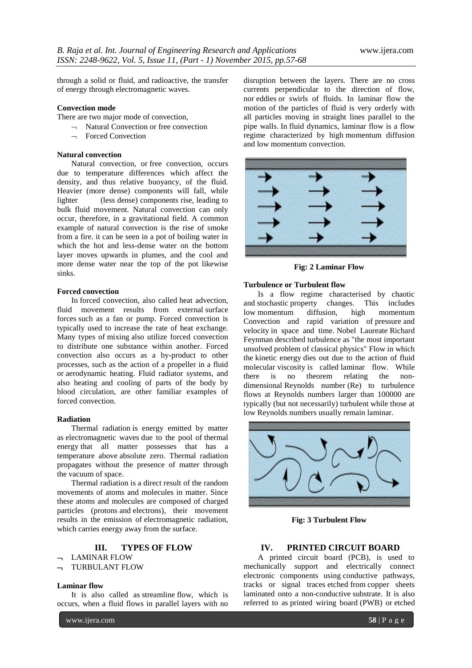through a solid or fluid, and radioactive, the transfer of energy through electromagnetic waves.

### **Convection mode**

There are two major mode of convection,

- $\lnot$  Natural Convection or free convection
- $\Box$  Forced Convection

#### **Natural convection**

Natural convection, or free convection, occurs due to temperature differences which affect the density, and thus relative buoyancy, of the fluid. Heavier (more dense) components will fall, while lighter (less dense) components rise, leading to bulk fluid movement. Natural convection can only occur, therefore, in a gravitational field. A common example of natural convection is the rise of smoke from a fire. it can be seen in a pot of boiling water in which the hot and less-dense water on the bottom layer moves upwards in plumes, and the cool and more dense water near the top of the pot likewise sinks.

#### **Forced convection**

In forced convection, also called heat advection, fluid movement results from external surface forces such as a fan or pump. Forced convection is typically used to increase the rate of heat exchange. Many types of mixing also utilize forced convection to distribute one substance within another. Forced convection also occurs as a by-product to other processes, such as the action of a propeller in a fluid or aerodynamic heating. Fluid radiator systems, and also heating and cooling of parts of the body by blood circulation, are other familiar examples of forced convection.

#### **Radiation**

Thermal radiation is energy emitted by matter as electromagnetic waves due to the pool of thermal energy that all matter possesses that has a temperature above absolute zero. Thermal radiation propagates without the presence of matter through the vacuum of space.

Thermal radiation is a direct result of the random movements of atoms and molecules in matter. Since these atoms and molecules are composed of charged particles (protons and electrons), their movement results in the emission of electromagnetic radiation, which carries energy away from the surface.

#### **III. TYPES OF FLOW**

- LAMINAR FLOW
- TURBULANT FLOW

#### **Laminar flow**

It is also called as streamline flow, which is occurs, when a fluid flows in parallel layers with no

disruption between the layers. There are no cross currents perpendicular to the direction of flow, nor eddies or swirls of fluids. In laminar flow the motion of the particles of fluid is very orderly with all particles moving in straight lines parallel to the pipe walls. In fluid dynamics, laminar flow is a flow regime characterized by high momentum diffusion and low momentum convection.



**Fig: 2 Laminar Flow**

#### **Turbulence or Turbulent flow**

Is a flow regime characterised by chaotic and stochastic property changes. This includes low momentum diffusion, high momentum Convection and rapid variation of pressure and velocity in space and time. Nobel Laureate Richard Feynman described turbulence as "the most important unsolved problem of classical physics" Flow in which the kinetic energy dies out due to the action of fluid molecular viscosity is called laminar flow. While there is no theorem relating the nondimensional Reynolds number (Re) to turbulence flows at Reynolds numbers larger than 100000 are typically (but not necessarily) turbulent while those at low Reynolds numbers usually remain laminar.



**Fig: 3 Turbulent Flow**

#### **IV. PRINTED CIRCUIT BOARD**

A printed circuit board (PCB), is used to mechanically support and electrically connect electronic components using conductive pathways, tracks or signal traces etched from copper sheets laminated onto a non-conductive substrate. It is also referred to as printed wiring board (PWB) or etched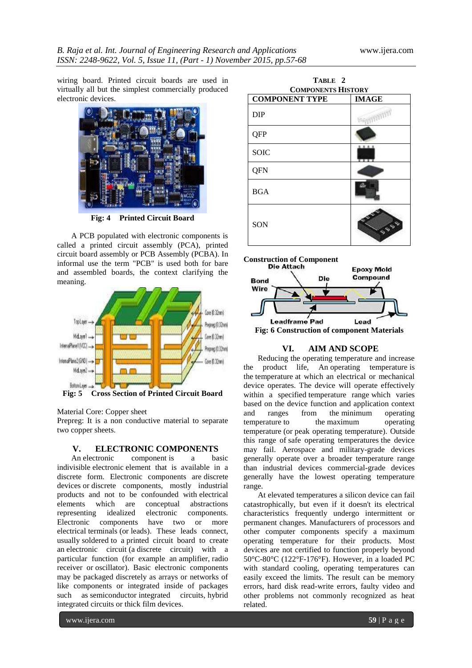wiring board. Printed circuit boards are used in virtually all but the simplest commercially produced electronic devices.



**Fig: 4 Printed Circuit Board**

A PCB populated with electronic components is called a printed circuit assembly (PCA), printed circuit board assembly or PCB Assembly (PCBA). In informal use the term "PCB" is used both for bare and assembled boards, the context clarifying the meaning.



Material Core: Copper sheet

Prepreg: It is a non conductive material to separate two copper sheets.

### **V. ELECTRONIC COMPONENTS**

An electronic component is a basic indivisible electronic element that is available in a discrete form. Electronic components are discrete devices or discrete components, mostly industrial products and not to be confounded with electrical elements which are conceptual abstractions representing idealized electronic components. Electronic components have two or more electrical terminals (or leads). These leads connect, usually soldered to a printed circuit board to create an electronic circuit (a discrete circuit) with a particular function (for example an amplifier, radio receiver or oscillator). Basic electronic components may be packaged discretely as arrays or networks of like components or integrated inside of packages such as semiconductor integrated circuits, hybrid integrated circuits or thick film devices.

| TABLE 2               |                           |  |  |
|-----------------------|---------------------------|--|--|
|                       | <b>COMPONENTS HISTORY</b> |  |  |
| <b>COMPONENT TYPE</b> | <b>IMAGE</b>              |  |  |
| <b>DIP</b>            | SWITCHIT                  |  |  |
| <b>QFP</b>            |                           |  |  |
| <b>SOIC</b>           |                           |  |  |
| QFN                   |                           |  |  |
| <b>BGA</b>            |                           |  |  |
| SON                   |                           |  |  |



### **VI. AIM AND SCOPE**

Reducing the operating temperature and increase the product life, An operating temperature is the temperature at which an electrical or mechanical device operates. The device will operate effectively within a specified temperature range which varies based on the device function and application context and ranges from the minimum operating temperature to the maximum operating temperature (or peak operating temperature). Outside this range of safe operating temperatures the device may fail. Aerospace and military-grade devices generally operate over a broader temperature range than industrial devices commercial-grade devices generally have the lowest operating temperature range.

At elevated temperatures a silicon device can fail catastrophically, but even if it doesn't its electrical characteristics frequently undergo intermittent or permanent changes. Manufacturers of processors and other computer components specify a maximum operating temperature for their products. Most devices are not certified to function properly beyond 50°C-80°C (122°F-176°F). However, in a loaded PC with standard cooling, operating temperatures can easily exceed the limits. The result can be memory errors, hard disk read-write errors, faulty video and other problems not commonly recognized as heat related.

www.ijera.com **59** | P a g e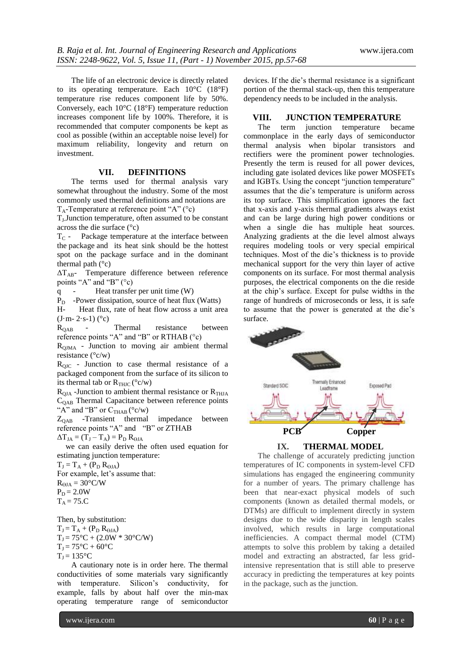The life of an electronic device is directly related to its operating temperature. Each 10°C (18°F) temperature rise reduces component life by 50%. Conversely, each 10°C (18°F) temperature reduction increases component life by 100%. Therefore, it is recommended that computer components be kept as cool as possible (within an acceptable noise level) for maximum reliability, longevity and return on investment.

### **VII. DEFINITIONS**

The terms used for thermal analysis vary somewhat throughout the industry. Some of the most commonly used thermal definitions and notations are  $T_A$ -Temperature at reference point "A" (°c)

 $T<sub>L</sub>$ Junction temperature, often assumed to be constant across the die surface (°c)

 $T_{C}$  - Package temperature at the interface between the package and its heat sink should be the hottest spot on the package surface and in the dominant thermal path  $(^{\circ}c)$ 

 $\Delta T_{AB}$ - Temperature difference between reference points "A" and "B" ( $^{\circ}$ c)

q - Heat transfer per unit time (W)

 $P_D$  -Power dissipation, source of heat flux (Watts)

H- Heat flux, rate of heat flow across a unit area  $(J \cdot m - 2 \cdot s - 1)$  (°c)

R<sub>OAB</sub> - Thermal resistance between reference points "A" and "B" or RTHAB (°c)

 $R<sub>OIMA</sub>$  - Junction to moving air ambient thermal resistance (°c/w)

 $R<sub>OIC</sub>$  - Junction to case thermal resistance of a packaged component from the surface of its silicon to its thermal tab or  $R_{THJC} (°c/w)$ 

 $R<sub>OJA</sub>$  -Junction to ambient thermal resistance or  $R<sub>THJA</sub>$  $C<sub>OAB</sub>$  Thermal Capacitance between reference points "A" and "B" or  $C_{\text{THAB}}$  (°c/w)

ZQAB -Transient thermal impedance between reference points "A" and "B" or ZTHAB

$$
\Delta T_{JA} = (T_J - T_A) = P_D R_{\Theta JA}
$$

we can easily derive the often used equation for estimating junction temperature:

 $T_I = T_A + (P_D R_{H_A})$ For example, let's assume that:  $R_{HIA} = 30^{\circ}$ C/W  $P_D = 2.0W$  $T_A = 75.C$ 

Then, by substitution:  $T_J = T_A + (P_D R_{AJA})$  $T_1 = 75$ °C + (2.0W \* 30°C/W)  $T_J = 75$ °C + 60°C  $T_J = 135$ °C

A cautionary note is in order here. The thermal conductivities of some materials vary significantly with temperature. Silicon's conductivity, for example, falls by about half over the min-max operating temperature range of semiconductor

devices. If the die's thermal resistance is a significant portion of the thermal stack-up, then this temperature dependency needs to be included in the analysis.

#### **VIII. JUNCTION TEMPERATURE**

The term junction temperature became commonplace in the early days of semiconductor thermal analysis when bipolar transistors and rectifiers were the prominent power technologies. Presently the term is reused for all power devices, including gate isolated devices like power MOSFETs and IGBTs. Using the concept "junction temperature" assumes that the die's temperature is uniform across its top surface. This simplification ignores the fact that x-axis and y-axis thermal gradients always exist and can be large during high power conditions or when a single die has multiple heat sources. Analyzing gradients at the die level almost always requires modeling tools or very special empirical techniques. Most of the die's thickness is to provide mechanical support for the very thin layer of active components on its surface. For most thermal analysis purposes, the electrical components on the die reside at the chip's surface. Except for pulse widths in the range of hundreds of microseconds or less, it is safe to assume that the power is generated at the die's surface.



### **IX. THERMAL MODEL**

The challenge of accurately predicting junction temperatures of IC components in system-level CFD simulations has engaged the engineering community for a number of years. The primary challenge has been that near-exact physical models of such components (known as detailed thermal models, or DTMs) are difficult to implement directly in system designs due to the wide disparity in length scales involved, which results in large computational inefficiencies. A compact thermal model (CTM) attempts to solve this problem by taking a detailed model and extracting an abstracted, far less gridintensive representation that is still able to preserve accuracy in predicting the temperatures at key points in the package, such as the junction.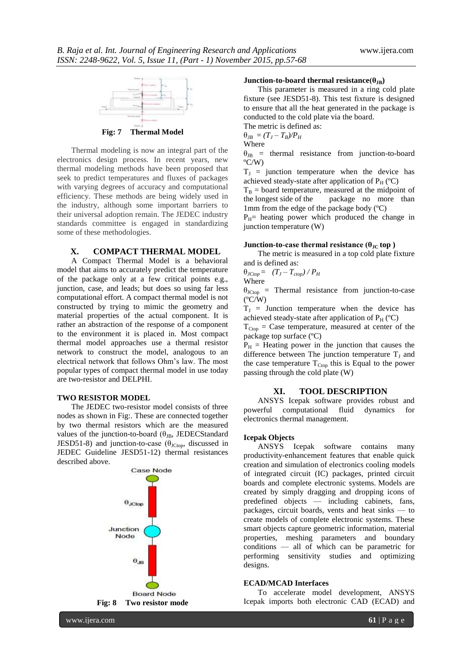

Thermal modeling is now an integral part of the electronics design process. In recent years, new thermal modeling methods have been proposed that seek to predict temperatures and fluxes of packages with varying degrees of accuracy and computational efficiency. These methods are being widely used in the industry, although some important barriers to their universal adoption remain. The JEDEC industry standards committee is engaged in standardizing some of these methodologies.

#### **X. COMPACT THERMAL MODEL**

A Compact Thermal Model is a behavioral model that aims to accurately predict the temperature of the package only at a few critical points e.g., junction, case, and leads; but does so using far less computational effort. A compact thermal model is not constructed by trying to mimic the geometry and material properties of the actual component. It is rather an abstraction of the response of a component to the environment it is placed in. Most compact thermal model approaches use a thermal resistor network to construct the model, analogous to an electrical network that follows Ohm's law. The most popular types of compact thermal model in use today are two-resistor and DELPHI.

#### **TWO RESISTOR MODEL**

The JEDEC two-resistor model consists of three nodes as shown in Fig:. These are connected together by two thermal resistors which are the measured values of the junction-to-board  $(\theta_{\text{IB}})$ , JEDECStandard JESD51-8) and junction-to-case ( $\theta_{\text{JCtop}}$ , discussed in JEDEC Guideline JESD51-12) thermal resistances described above.



#### **Junction-to-board thermal resistance(** $\theta_{IB}$ **)**

This parameter is measured in a ring cold plate fixture (see JESD51-8). This test fixture is designed to ensure that all the heat generated in the package is conducted to the cold plate via the board.

The metric is defined as:  $\theta_{IB} = (T_I - T_B)/P_H$ 

Where

 $\theta_{\text{IB}}$  = thermal resistance from junction-to-board ºC/W)

 $T<sub>I</sub>$  = junction temperature when the device has achieved steady-state after application of  $P_H$  (°C)

 $T_B$  = board temperature, measured at the midpoint of the longest side of the package no more than 1mm from the edge of the package body (ºC)

 $P_H$ = heating power which produced the change in junction temperature (W)

#### **Junction-to-case thermal resistance (** $\theta$ **<sub>JC</sub> <b>top**)

The metric is measured in a top cold plate fixture and is defined as:

 $\theta_{JCtop} = (T_J - T_{ctop}) / P_H$ Where

 $\theta_{\text{JCtop}}$  = Thermal resistance from junction-to-case  $(^{\circ}C/W)$ 

 $T_J$  = Junction temperature when the device has achieved steady-state after application of  $P_H$  ( ${}^{\circ}C$ )

 $T_{Cton}$  = Case temperature, measured at center of the package top surface (ºC)

 $P_H$  = Heating power in the junction that causes the difference between The junction temperature  $T<sub>J</sub>$  and the case temperature  $T_{Ctop}$  this is Equal to the power passing through the cold plate (W)

### **XI. TOOL DESCRIPTION**

ANSYS Icepak software provides robust and powerful computational fluid dynamics for electronics thermal management.

#### **Icepak Objects**

ANSYS Icepak software contains many productivity-enhancement features that enable quick creation and simulation of electronics cooling models of integrated circuit (IC) packages, printed circuit boards and complete electronic systems. Models are created by simply dragging and dropping icons of predefined objects — including cabinets, fans, packages, circuit boards, vents and heat sinks — to create models of complete electronic systems. These smart objects capture geometric information, material properties, meshing parameters and boundary conditions — all of which can be parametric for performing sensitivity studies and optimizing designs.

#### **ECAD/MCAD Interfaces**

To accelerate model development, ANSYS Icepak imports both electronic CAD (ECAD) and

www.ijera.com **61** | P a g e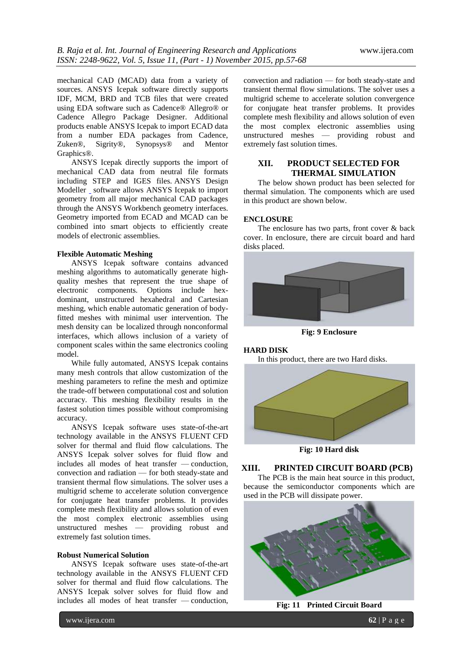mechanical CAD (MCAD) data from a variety of sources. ANSYS Icepak software directly supports IDF, MCM, BRD and TCB files that were created using EDA software such as Cadence® Allegro® or Cadence Allegro Package Designer. Additional products enable ANSYS Icepak to import ECAD data from a number EDA packages from Cadence, Zuken®, Sigrity®, Synopsys® and Mentor Graphics®.

ANSYS Icepak directly supports the import of mechanical CAD data from neutral file formats including STEP and IGES files. ANSYS Design Modeller\_ software allows ANSYS Icepak to import geometry from all major mechanical CAD packages through the ANSYS Workbench geometry interfaces. Geometry imported from ECAD and MCAD can be combined into smart objects to efficiently create models of electronic assemblies.

#### **Flexible Automatic Meshing**

ANSYS Icepak software contains advanced meshing algorithms to automatically generate highquality meshes that represent the true shape of electronic components. Options include hexdominant, unstructured hexahedral and Cartesian meshing, which enable automatic generation of bodyfitted meshes with minimal user intervention. The mesh density can be localized through nonconformal interfaces, which allows inclusion of a variety of component scales within the same electronics cooling model.

While fully automated, ANSYS Icepak contains many mesh controls that allow customization of the meshing parameters to refine the mesh and optimize the trade-off between computational cost and solution accuracy. This meshing flexibility results in the fastest solution times possible without compromising accuracy.

ANSYS Icepak software uses state-of-the-art technology available in the ANSYS FLUENT CFD solver for thermal and fluid flow calculations. The ANSYS Icepak solver solves for fluid flow and includes all modes of heat transfer — conduction, convection and radiation — for both steady-state and transient thermal flow simulations. The solver uses a multigrid scheme to accelerate solution convergence for conjugate heat transfer problems. It provides complete mesh flexibility and allows solution of even the most complex electronic assemblies using unstructured meshes — providing robust and extremely fast solution times.

#### **Robust Numerical Solution**

ANSYS Icepak software uses state-of-the-art technology available in the ANSYS FLUENT CFD solver for thermal and fluid flow calculations. The ANSYS Icepak solver solves for fluid flow and includes all modes of heat transfer — conduction,

convection and radiation — for both steady-state and transient thermal flow simulations. The solver uses a multigrid scheme to accelerate solution convergence for conjugate heat transfer problems. It provides complete mesh flexibility and allows solution of even the most complex electronic assemblies using unstructured meshes — providing robust and extremely fast solution times.

### **XII. PRODUCT SELECTED FOR THERMAL SIMULATION**

The below shown product has been selected for thermal simulation. The components which are used in this product are shown below.

#### **ENCLOSURE**

The enclosure has two parts, front cover & back cover. In enclosure, there are circuit board and hard disks placed.



**Fig: 9 Enclosure**

#### **HARD DISK**

In this product, there are two Hard disks.



**Fig: 10 Hard disk**

## **XIII. PRINTED CIRCUIT BOARD (PCB)**

The PCB is the main heat source in this product, because the semiconductor components which are used in the PCB will dissipate power.



**Fig: 11 Printed Circuit Board**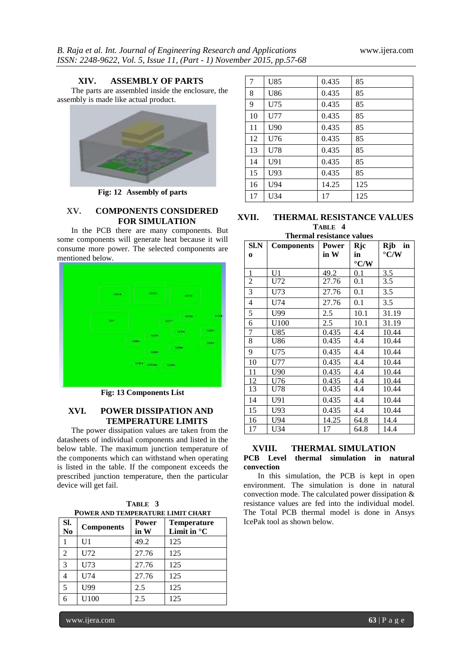**XIV. ASSEMBLY OF PARTS**

The parts are assembled inside the enclosure, the assembly is made like actual product.



**Fig: 12 Assembly of parts**

### **XV. COMPONENTS CONSIDERED FOR SIMULATION**

In the PCB there are many components. But some components will generate heat because it will consume more power. The selected components are mentioned below.



**Fig: 13 Components List**

### **XVI. POWER DISSIPATION AND TEMPERATURE LIMITS**

The power dissipation values are taken from the datasheets of individual components and listed in the below table. The maximum junction temperature of the components which can withstand when operating is listed in the table. If the component exceeds the prescribed junction temperature, then the particular device will get fail.

| TABLE 3                           |  |
|-----------------------------------|--|
| POWER AND TEMPERATURE LIMIT CHART |  |

| SI.<br>No | <b>Components</b>     | <b>Power</b><br>in W | <b>Temperature</b><br>Limit in $\mathrm{C}$ |
|-----------|-----------------------|----------------------|---------------------------------------------|
|           | U1                    | 49.2                 | 125                                         |
| 2         | U72                   | 27.76                | 125                                         |
| 3         | U73                   | 27.76                | 125                                         |
| 4         | U74                   | 27.76                | 125                                         |
| 5         | <b>U<sub>10</sub></b> | 2.5                  | 125                                         |
| 6         | U100                  | 2.5                  | 125                                         |

| 7  | U85             | 0.435 | 85  |
|----|-----------------|-------|-----|
| 8  | U86             | 0.435 | 85  |
| 9  | U75             | 0.435 | 85  |
| 10 | U77             | 0.435 | 85  |
| 11 | U90             | 0.435 | 85  |
| 12 | U76             | 0.435 | 85  |
| 13 | U78             | 0.435 | 85  |
| 14 | U <sub>91</sub> | 0.435 | 85  |
| 15 | U93             | 0.435 | 85  |
| 16 | U94             | 14.25 | 125 |
| 17 | U34             | 17    | 125 |

| XVII. | <b>THERMAL RESISTANCE VALUES</b> |
|-------|----------------------------------|
|       | TABLE 4                          |

| <b>Thermal resistance values</b> |                   |       |                    |                |
|----------------------------------|-------------------|-------|--------------------|----------------|
| S <sub>1</sub> N                 | <b>Components</b> | Power | Rjc                | in<br>Rjb      |
| $\bf{o}$                         |                   | in W  | in                 | $^{\circ}$ C/W |
|                                  |                   |       | $\rm ^{\circ} C/W$ |                |
| 1                                | U1                | 49.2  | 0.1                | 3.5            |
| $\overline{2}$                   | U72               | 27.76 | $0.1\,$            | 3.5            |
| 3                                | U73               | 27.76 | 0.1                | 3.5            |
| $\overline{4}$                   | U74               | 27.76 | 0.1                | 3.5            |
| 5                                | U99               | 2.5   | 10.1               | 31.19          |
| 6                                | U100              | 2.5   | 10.1               | 31.19          |
| 7                                | U85               | 0.435 | 4.4                | 10.44          |
| 8                                | U86               | 0.435 | 4.4                | 10.44          |
| 9                                | U75               | 0.435 | 4.4                | 10.44          |
| 10                               | U77               | 0.435 | 4.4                | 10.44          |
| 11                               | U90               | 0.435 | 4.4                | 10.44          |
| 12                               | U76               | 0.435 | 4.4                | 10.44          |
| 13                               | U78               | 0.435 | 4.4                | 10.44          |
| 14                               | U91               | 0.435 | 4.4                | 10.44          |
| 15                               | U93               | 0.435 | 4.4                | 10.44          |
| 16                               | U94               | 14.25 | 64.8               | 14.4           |
| 17                               | U34               | 17    | 64.8               | 14.4           |

### **XVIII. THERMAL SIMULATION PCB Level thermal simulation in natural convection**

In this simulation, the PCB is kept in open environment. The simulation is done in natural convection mode. The calculated power dissipation & resistance values are fed into the individual model. The Total PCB thermal model is done in Ansys IcePak tool as shown below.

www.ijera.com **63** | P a g e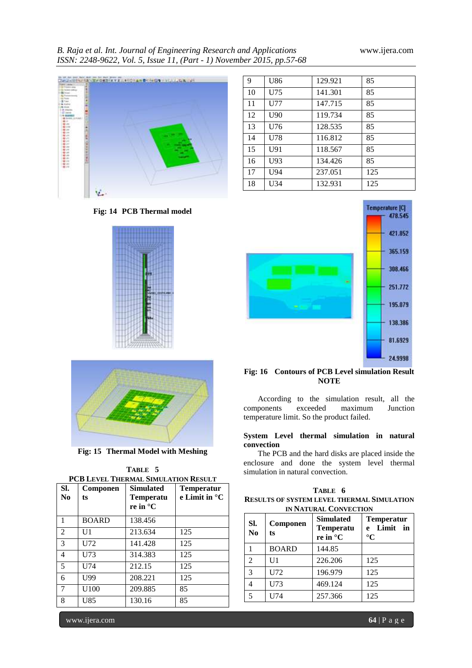*B. Raja et al. Int. Journal of Engineering Research and Applications* www.ijera.com *ISSN: 2248-9622, Vol. 5, Issue 11, (Part - 1) November 2015, pp.57-68*



**Fig: 14 PCB Thermal model**





**Fig: 15 Thermal Model with Meshing**

|                | <b>PCB LEVEL THERMAL SIMULATION RESULT</b> |                  |                                 |  |
|----------------|--------------------------------------------|------------------|---------------------------------|--|
| SI.            | Componen                                   | Simulated        | <b>Temperatur</b>               |  |
| N <sub>0</sub> | ts                                         | <b>Temperatu</b> | e Limit in $\mathrm{^{\circ}C}$ |  |
|                |                                            | re in °C         |                                 |  |
| 1              | <b>BOARD</b>                               | 138.456          |                                 |  |
| $\overline{2}$ | U1                                         | 213.634          | 125                             |  |
| 3              | U72                                        | 141.428          | 125                             |  |
| 4              | U73                                        | 314.383          | 125                             |  |
| 5              | U74                                        | 212.15           | 125                             |  |
| 6              | U99                                        | 208.221          | 125                             |  |
| 7              | U100                                       | 209.885          | 85                              |  |
| 8              | U85                                        | 130.16           | 85                              |  |

**TABLE 5**

| 9  | U86 | 129.921 | 85  |
|----|-----|---------|-----|
| 10 | U75 | 141.301 | 85  |
| 11 | U77 | 147.715 | 85  |
| 12 | U90 | 119.734 | 85  |
| 13 | U76 | 128.535 | 85  |
| 14 | U78 | 116.812 | 85  |
| 15 | U91 | 118.567 | 85  |
| 16 | U93 | 134.426 | 85  |
| 17 | U94 | 237.051 | 125 |
| 18 | U34 | 132.931 | 125 |



**Fig: 16 Contours of PCB Level simulation Result NOTE**

According to the simulation result, all the components exceeded maximum Junction temperature limit. So the product failed.

### **System Level thermal simulation in natural convection**

The PCB and the hard disks are placed inside the enclosure and done the system level thermal simulation in natural convection.

| TABLE 6                                           |
|---------------------------------------------------|
| <b>RESULTS OF SYSTEM LEVEL THERMAL SIMULATION</b> |
| IN NATURAL CONVECTION                             |

| SI.<br>$\bf No$ | Componen<br>ts | <b>Simulated</b><br><b>Temperatu</b><br>re in °C | Temperatur<br>Limit<br>in<br>e<br>$\rm ^{\circ}C$ |
|-----------------|----------------|--------------------------------------------------|---------------------------------------------------|
|                 | <b>BOARD</b>   | 144.85                                           |                                                   |
| $\mathfrak{D}$  | U1             | 226.206                                          | 125                                               |
| $\mathcal{R}$   | U72            | 196.979                                          | 125                                               |
|                 | U73            | 469.124                                          | 125                                               |
| 5               | U74            | 257.366                                          | 125                                               |

www.ijera.com **64** | P a g e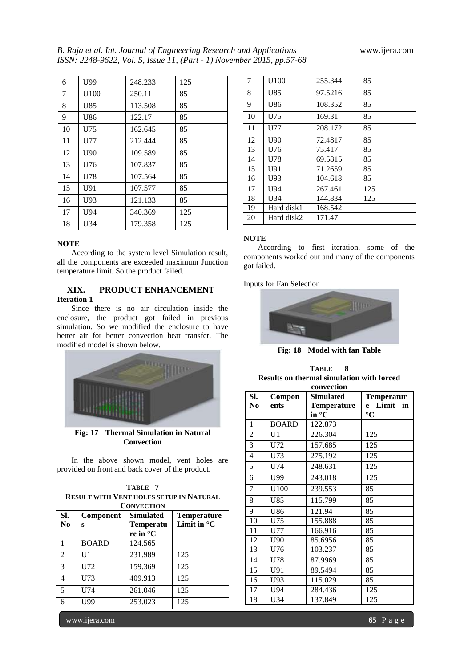*B. Raja et al. Int. Journal of Engineering Research and Applications* www.ijera.com *ISSN: 2248-9622, Vol. 5, Issue 11, (Part - 1) November 2015, pp.57-68*

|  | D. Kuju er un min som nur of Engineering Research und Apphelinons    |
|--|----------------------------------------------------------------------|
|  | ISSN: 2248-9622, Vol. 5, Issue 11, (Part - 1) November 2015, pp.57-t |
|  |                                                                      |

| 6  | U99             | 248.233 | 125 |
|----|-----------------|---------|-----|
| 7  | U100            | 250.11  | 85  |
| 8  | U85             | 113.508 | 85  |
| 9  | U86             | 122.17  | 85  |
| 10 | U75             | 162.645 | 85  |
| 11 | U77             | 212.444 | 85  |
| 12 | U90             | 109.589 | 85  |
| 13 | U76             | 107.837 | 85  |
| 14 | U78             | 107.564 | 85  |
| 15 | U <sub>91</sub> | 107.577 | 85  |
| 16 | U <sub>93</sub> | 121.133 | 85  |
| 17 | U <sub>94</sub> | 340.369 | 125 |
| 18 | U34             | 179.358 | 125 |

### **NOTE**

According to the system level Simulation result, all the components are exceeded maximum Junction temperature limit. So the product failed.

### **XIX. PRODUCT ENHANCEMENT Iteration 1**

Since there is no air circulation inside the enclosure, the product got failed in previous simulation. So we modified the enclosure to have better air for better convection heat transfer. The modified model is shown below.



**Fig: 17 Thermal Simulation in Natural Convection**

In the above shown model, vent holes are provided on front and back cover of the product.

| TABLE 7                                        |
|------------------------------------------------|
| <b>RESULT WITH VENT HOLES SETUP IN NATURAL</b> |
| <b>CONVECTION</b>                              |

| SI.<br>N <sub>0</sub> | <b>Component</b><br>S | <b>Simulated</b><br>Temperatu<br>re in °C | <b>Temperature</b><br>Limit in $\mathrm{C}$ |
|-----------------------|-----------------------|-------------------------------------------|---------------------------------------------|
|                       | <b>BOARD</b>          | 124.565                                   |                                             |
| $\mathfrak{D}$        | U1                    | 231.989                                   | 125                                         |
| 3                     | U72                   | 159.369                                   | 125                                         |
| 4                     | U73                   | 409.913                                   | 125                                         |
| 5                     | U74                   | 261.046                                   | 125                                         |
| 6                     | U99                   | 253.023                                   | 125                                         |

| 7  | U <sub>100</sub> | 255.344 | 85  |
|----|------------------|---------|-----|
| 8  | U85              | 97.5216 | 85  |
| 9  | U86              | 108.352 | 85  |
| 10 | U75              | 169.31  | 85  |
| 11 | U77              | 208.172 | 85  |
| 12 | U90              | 72.4817 | 85  |
| 13 | U76              | 75.417  | 85  |
| 14 | U78              | 69.5815 | 85  |
| 15 | U91              | 71.2659 | 85  |
| 16 | U93              | 104.618 | 85  |
| 17 | U <sub>94</sub>  | 267.461 | 125 |
| 18 | U34              | 144.834 | 125 |
| 19 | Hard disk1       | 168.542 |     |
| 20 | Hard disk2       | 171.47  |     |

### **NOTE**

According to first iteration, some of the components worked out and many of the components got failed.

Inputs for Fan Selection



**Fig: 18 Model with fan Table**

|  |                                                  | TABLE      |  |  |
|--|--------------------------------------------------|------------|--|--|
|  | <b>Results on thermal simulation with forced</b> |            |  |  |
|  |                                                  | convection |  |  |

| SI.            | Compon<br><b>Simulated</b><br><b>Temperatur</b> |                         |                 |  |  |  |
|----------------|-------------------------------------------------|-------------------------|-----------------|--|--|--|
| N <sub>0</sub> | ents                                            | <b>Temperature</b>      | Limit in<br>e   |  |  |  |
|                |                                                 | in $\mathrm{^{\circ}C}$ | $\rm ^{\circ}C$ |  |  |  |
| 1              | <b>BOARD</b>                                    | 122.873                 |                 |  |  |  |
| $\overline{2}$ | U1                                              | 226.304                 | 125             |  |  |  |
| 3              | U72                                             | 157.685                 | 125             |  |  |  |
| $\overline{4}$ | U73                                             | 275.192                 | 125             |  |  |  |
| 5              | U74                                             | 248.631                 | 125             |  |  |  |
| 6              | U99                                             | 243.018                 | 125             |  |  |  |
| 7              | U100                                            | 239.553                 | 85              |  |  |  |
| 8              | U85                                             | 115.799                 | 85              |  |  |  |
| 9              | U86                                             | 121.94                  | 85              |  |  |  |
| 10             | U75                                             | 155.888                 | 85              |  |  |  |
| 11             | U77                                             | 166.916                 | 85              |  |  |  |
| 12             | U90                                             | 85.6956                 | 85              |  |  |  |
| 13             | U76                                             | 103.237                 | 85              |  |  |  |
| 14             | U78                                             | 87.9969                 | 85              |  |  |  |
| 15             | U91                                             | 89.5494                 | 85              |  |  |  |
| 16             | U93                                             | 115.029                 | 85              |  |  |  |
| 17             | U94                                             | 284.436                 | 125             |  |  |  |
| 18             | U34                                             | 137.849                 | 125             |  |  |  |

www.ijera.com **65** | P a g e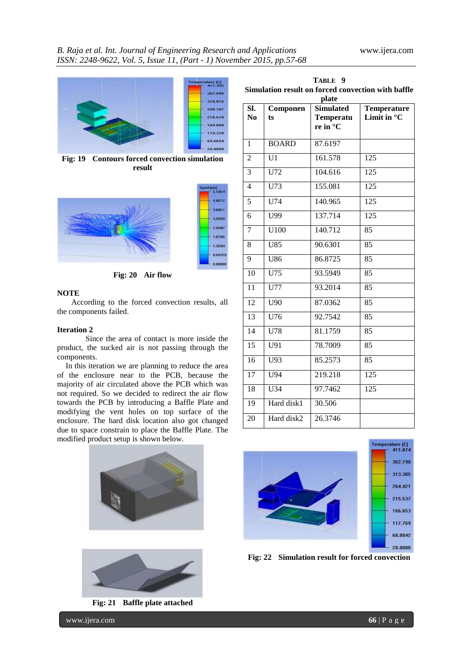

**Fig: 19 Contours forced convection simulation result**



**Fig: 20 Air flow**

### **NOTE**

According to the forced convection results, all the components failed.

#### **Iteration 2**

Since the area of contact is more inside the product, the sucked air is not passing through the components.

In this iteration we are planning to reduce the area of the enclosure near to the PCB, because the majority of air circulated above the PCB which was not required. So we decided to redirect the air flow towards the PCB by introducing a Baffle Plate and modifying the vent holes on top surface of the enclosure. The hard disk location also got changed due to space constrain to place the Baffle Plate. The modified product setup is shown below.

| plate<br><b>Simulated</b><br>SI.<br><b>Temperature</b><br>Componen |                  |                                        |                  |  |  |  |  |
|--------------------------------------------------------------------|------------------|----------------------------------------|------------------|--|--|--|--|
| N <sub>0</sub>                                                     | ts               | <b>Temperatu</b><br>re in $^{\circ}$ C | Limit in °C      |  |  |  |  |
| $\mathbf{1}$                                                       | <b>BOARD</b>     | 87.6197                                |                  |  |  |  |  |
| 2                                                                  | U1               | 161.578                                | 125              |  |  |  |  |
| 3                                                                  | U72              | 104.616                                | 125              |  |  |  |  |
| $\overline{4}$                                                     | U73              | 155.081                                | 125              |  |  |  |  |
| 5                                                                  | $\overline{U74}$ | 140.965                                | $\overline{125}$ |  |  |  |  |
| 6                                                                  | $\overline{U99}$ | 137.714                                | 125              |  |  |  |  |
| 7                                                                  | U100             | 140.712                                | 85               |  |  |  |  |
| 8                                                                  | <b>U85</b>       | 90.6301                                | 85               |  |  |  |  |
| 9                                                                  | U86              | 86.8725                                | 85               |  |  |  |  |
| 10                                                                 | $\overline{U75}$ | 93.5949                                | 85               |  |  |  |  |
| 11                                                                 | U77              | 93.2014                                | 85               |  |  |  |  |
| 12                                                                 | U90              | 87.0362                                | 85               |  |  |  |  |
| 13                                                                 | U76              | 92.7542                                | 85               |  |  |  |  |
| 14                                                                 | U78              | 81.1759                                | 85               |  |  |  |  |
| 15                                                                 | U91              | 78.7009                                | 85               |  |  |  |  |
| 16                                                                 | U93              | 85.2573                                | 85               |  |  |  |  |
| 17                                                                 | $\overline{U94}$ | 219.218                                | 125              |  |  |  |  |
| 18                                                                 | U34              | 97.7462                                | 125              |  |  |  |  |
| 19                                                                 | Hard disk1       | 30.506                                 |                  |  |  |  |  |
| 20                                                                 | Hard disk2       | 26.3746                                |                  |  |  |  |  |
|                                                                    |                  |                                        |                  |  |  |  |  |

**TABLE 9**



**Fig: 22 Simulation result for forced convection**





**Fig: 21 Baffle plate attached**

www.ijera.com **66** | P a g e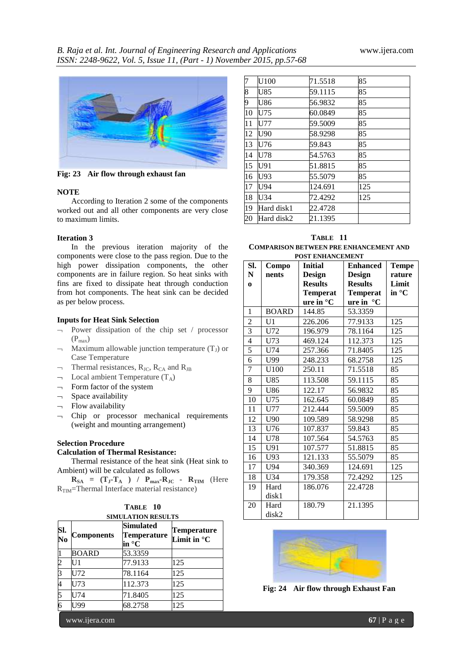

**Fig: 23 Air flow through exhaust fan**

### **NOTE**

According to Iteration 2 some of the components worked out and all other components are very close to maximum limits.

#### **Iteration 3**

In the previous iteration majority of the components were close to the pass region. Due to the high power dissipation components, the other components are in failure region. So heat sinks with fins are fixed to dissipate heat through conduction from hot components. The heat sink can be decided as per below process.

#### **Inputs for Heat Sink Selection**

- $\neg$  Power dissipation of the chip set / processor  $(P_{max})$
- $\lnot$  Maximum allowable junction temperature (T<sub>J</sub>) or Case Temperature
- $\lnot$  Thermal resistances, R<sub>JC</sub>, R<sub>CA</sub> and R<sub>JB</sub>
- $\lnot$  Local ambient Temperature (T<sub>A</sub>)
- $\lnot$  Form factor of the system
- $\lnot$  Space availability
- $\neg$  Flow availability
- $\neg$  Chip or processor mechanical requirements (weight and mounting arrangement)

### **Selection Procedure**

### **Calculation of Thermal Resistance:**

Thermal resistance of the heat sink (Heat sink to Ambient) will be calculated as follows

 $R_{SA}$  = ( $T_J$ **·** $T_A$ ) /  $P_{max}$ **·** $R_{JC}$  ·  $R_{TIM}$  (Here R<sub>TIM</sub>=Thermal Interface material resistance)

|                 |                   | TABLE 10                                                                               |                                      | 20 | Hard<br>disk2 | 180.79 | 21.1395                      |             |
|-----------------|-------------------|----------------------------------------------------------------------------------------|--------------------------------------|----|---------------|--------|------------------------------|-------------|
| SI.<br>$\bf No$ | <b>Components</b> | <b>SIMULATION RESULTS</b><br><b>Simulated</b><br><b>Temperature</b><br>in $\mathrm{C}$ | Temperature<br>Limit in $^{\circ}$ C |    |               |        |                              |             |
| l1              | <b>BOARD</b>      | 53.3359                                                                                |                                      |    |               |        |                              |             |
| $\overline{c}$  | U1                | 77.9133                                                                                | 125                                  |    |               |        |                              |             |
| β               | U72               | 78.1164                                                                                | 125                                  |    |               |        |                              |             |
| 4               | U73               | 112.373                                                                                | 125                                  |    | Fig: 24       |        | Air flow through Exhaust Fan |             |
| 5               | U74               | 71.8405                                                                                | 125                                  |    |               |        |                              |             |
| 6               | U99               | 68.2758                                                                                | 125                                  |    |               |        |                              |             |
|                 | www.ijera.com     |                                                                                        |                                      |    |               |        |                              | $67$   Page |

| 7  | U100            | 71.5518 | 85  |
|----|-----------------|---------|-----|
| 8  | U85             | 59.1115 | 85  |
| 9  | U86             | 56.9832 | 85  |
| 10 | U75             | 60.0849 | 85  |
| 11 | U77             | 59.5009 | 85  |
| 12 | U90             | 58.9298 | 85  |
| 13 | U76             | 59.843  | 85  |
| 14 | U78             | 54.5763 | 85  |
| 15 | U <sub>91</sub> | 51.8815 | 85  |
| 16 | U93             | 55.5079 | 85  |
| 17 | U <sub>94</sub> | 124.691 | 125 |
| 18 | U34             | 72.4292 | 125 |
| 19 | Hard disk1      | 22.4728 |     |
| 20 | Hard disk2      | 21.1395 |     |

**TABLE 11 COMPARISON BETWEEN PRE ENHANCEMENT AND POST ENHANCEMENT**

| SI.                     | Compo           | I OO L EIMIAINCEIMEIN L<br><b>Initial</b> | <b>Enhanced</b> | <b>Tempe</b>    |
|-------------------------|-----------------|-------------------------------------------|-----------------|-----------------|
| N                       | nents           | <b>Design</b>                             | <b>Design</b>   | rature          |
| $\mathbf{o}$            |                 | <b>Results</b>                            | <b>Results</b>  | Limit           |
|                         |                 | <b>Temperat</b>                           | <b>Temperat</b> | in $\mathrm{C}$ |
|                         |                 | ure in °C                                 | ure in °C       |                 |
| 1                       | <b>BOARD</b>    | 144.85                                    | 53.3359         |                 |
| $\overline{2}$          | U1              | 226.206                                   | 77.9133         | 125             |
| $\overline{\mathbf{3}}$ | U72             | 196.979                                   | 78.1164         | 125             |
| $\overline{4}$          | U73             | 469.124                                   | 112.373         | 125             |
| 5                       | U74             | 257.366                                   | 71.8405         | 125             |
| 6                       | U <sub>99</sub> | 248.233                                   | 68.2758         | 125             |
| $\overline{7}$          | U100            | 250.11                                    | 71.5518         | 85              |
| 8                       | U85             | 113.508                                   | 59.1115         | 85              |
| 9                       | U86             | 122.17                                    | 56.9832         | 85              |
| 10                      | U75             | 162.645                                   | 60.0849         | 85              |
| 11                      | U77             | 212.444                                   | 59.5009         | 85              |
| 12                      | U90             | 109.589                                   | 58.9298         | 85              |
| 13                      | U <sub>76</sub> | 107.837                                   | 59.843          | 85              |
| 14                      | U78             | 107.564                                   | 54.5763         | 85              |
| 15                      | U91             | 107.577                                   | 51.8815         | 85              |
| 16                      | U93             | 121.133                                   | 55.5079         | 85              |
| 17                      | U94             | 340.369                                   | 124.691         | 125             |
| 18                      | U34             | 179.358                                   | 72.4292         | 125             |
| 19                      | Hard            | 186.076                                   | 22.4728         |                 |
|                         | disk1           |                                           |                 |                 |
| 20                      | Hard            | 180.79                                    | 21.1395         |                 |
|                         | disk2           |                                           |                 |                 |



**Fig: 24 Air flow through Exhaust Fan**